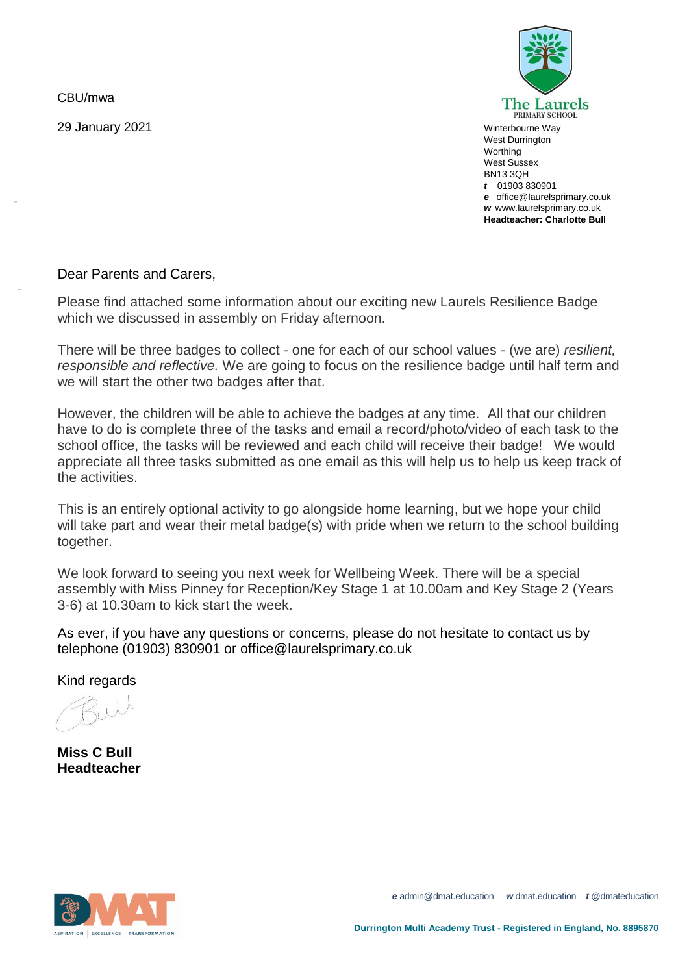CBU/mwa

-

-

29 January 2021



Winterbourne Way West Durrington **Worthing** West Sussex BN13 3QH *t* 01903 830901 *e* office@laurelsprimary.co.uk *w* www.laurelsprimary.co.uk **Headteacher: Charlotte Bull**

## Dear Parents and Carers,

Please find attached some information about our exciting new Laurels Resilience Badge which we discussed in assembly on Friday afternoon.

There will be three badges to collect - one for each of our school values - (we are) *resilient, responsible and reflective.* We are going to focus on the resilience badge until half term and we will start the other two badges after that.

However, the children will be able to achieve the badges at any time. All that our children have to do is complete three of the tasks and email a record/photo/video of each task to the school office, the tasks will be reviewed and each child will receive their badge! We would appreciate all three tasks submitted as one email as this will help us to help us keep track of the activities.

This is an entirely optional activity to go alongside home learning, but we hope your child will take part and wear their metal badge(s) with pride when we return to the school building together.

We look forward to seeing you next week for Wellbeing Week. There will be a special assembly with Miss Pinney for Reception/Key Stage 1 at 10.00am and Key Stage 2 (Years 3-6) at 10.30am to kick start the week.

As ever, if you have any questions or concerns, please do not hesitate to contact us by telephone (01903) 830901 or office@laurelsprimary.co.uk

Kind regards

**Miss C Bull Headteacher**



*e* admin@dmat.education *w* dmat.education *t* @dmateducation